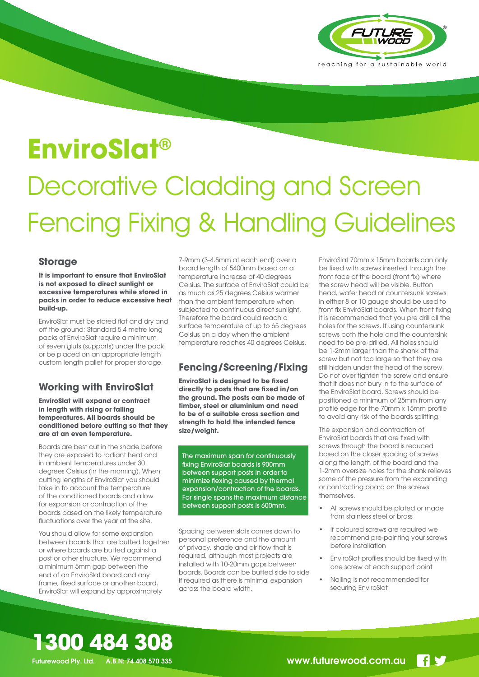

## **EnviroSlat®**

# Decorative Cladding and Screen Fencing Fixing & Handling Guidelines

#### **Storage**

#### **It is important to ensure that EnviroSlat is not exposed to direct sunlight or excessive temperatures while stored in packs in order to reduce excessive heat build-up.**

EnviroSlat must be stored flat and dry and off the ground; Standard 5.4 metre long packs of EnviroSlat require a minimum of seven gluts (supports) under the pack or be placed on an appropriate length custom length pallet for proper storage.

#### **Working with EnviroSlat**

#### **EnviroSlat will expand or contract in length with rising or falling temperatures. All boards should be conditioned before cutting so that they are at an even temperature.**

Boards are best cut in the shade before they are exposed to radiant heat and in ambient temperatures under 30 degrees Celsius (in the morning). When cutting lengths of EnviroSlat you should take in to account the temperature of the conditioned boards and allow for expansion or contraction of the boards based on the likely temperature fluctuations over the year at the site.

You should allow for some expansion between boards that are butted together or where boards are butted against a post or other structure. We recommend a minimum 5mm gap between the end of an EnviroSlat board and any frame, fixed surface or another board. EnviroSlat will expand by approximately

7-9mm (3-4.5mm at each end) over a board length of 5400mm based on a temperature increase of 40 degrees Celsius. The surface of EnviroSlat could be as much as 25 degrees Celsius warmer than the ambient temperature when subjected to continuous direct sunlight. Therefore the board could reach a surface temperature of up to 65 degrees Celsius on a day when the ambient temperature reaches 40 degrees Celsius.

#### **Fencing/Screening/Fixing**

**EnviroSlat is designed to be fixed directly to posts that are fixed in/on the ground. The posts can be made of timber, steel or aluminium and need to be of a suitable cross section and strength to hold the intended fence size/weight.**

The maximum span for continuously fixing EnviroSlat boards is 900mm between support posts in order to minimize flexing caused by thermal expansion/contraction of the boards. For single spans the maximum distance between support posts is 600mm.

Spacing between slats comes down to personal preference and the amount of privacy, shade and air flow that is required, although most projects are installed with 10-20mm gaps between boards. Boards can be butted side to side if required as there is minimal expansion across the board width.

EnviroSlat 70mm x 15mm boards can only be fixed with screws inserted through the front face of the board (front fix) where the screw head will be visible. Button head, wafer head or countersunk screws in either 8 or 10 gauge should be used to front fix EnviroSlat boards. When front fixing it is recommended that you pre drill all the holes for the screws. If using countersunk screws both the hole and the countersink need to be pre-drilled. All holes should be 1-2mm larger than the shank of the screw but not too large so that they are still hidden under the head of the screw. Do not over tighten the screw and ensure that it does not bury in to the surface of the EnviroSlat board. Screws should be positioned a minimum of 25mm from any profile edge for the 70mm x 15mm profile to avoid any risk of the boards splitting.

The expansion and contraction of EnviroSlat boards that are fixed with screws through the board is reduced based on the closer spacing of screws along the length of the board and the 1-2mm oversize holes for the shank relieves some of the pressure from the expanding or contracting board on the screws themselves.

- All screws should be plated or made from stainless steel or brass
- If coloured screws are required we recommend pre-painting your screws before installation
- EnviroSlat profiles should be fixed with one screw at each support point
- Nailing is not recommended for securing EnviroSlat

**1300 484 308**